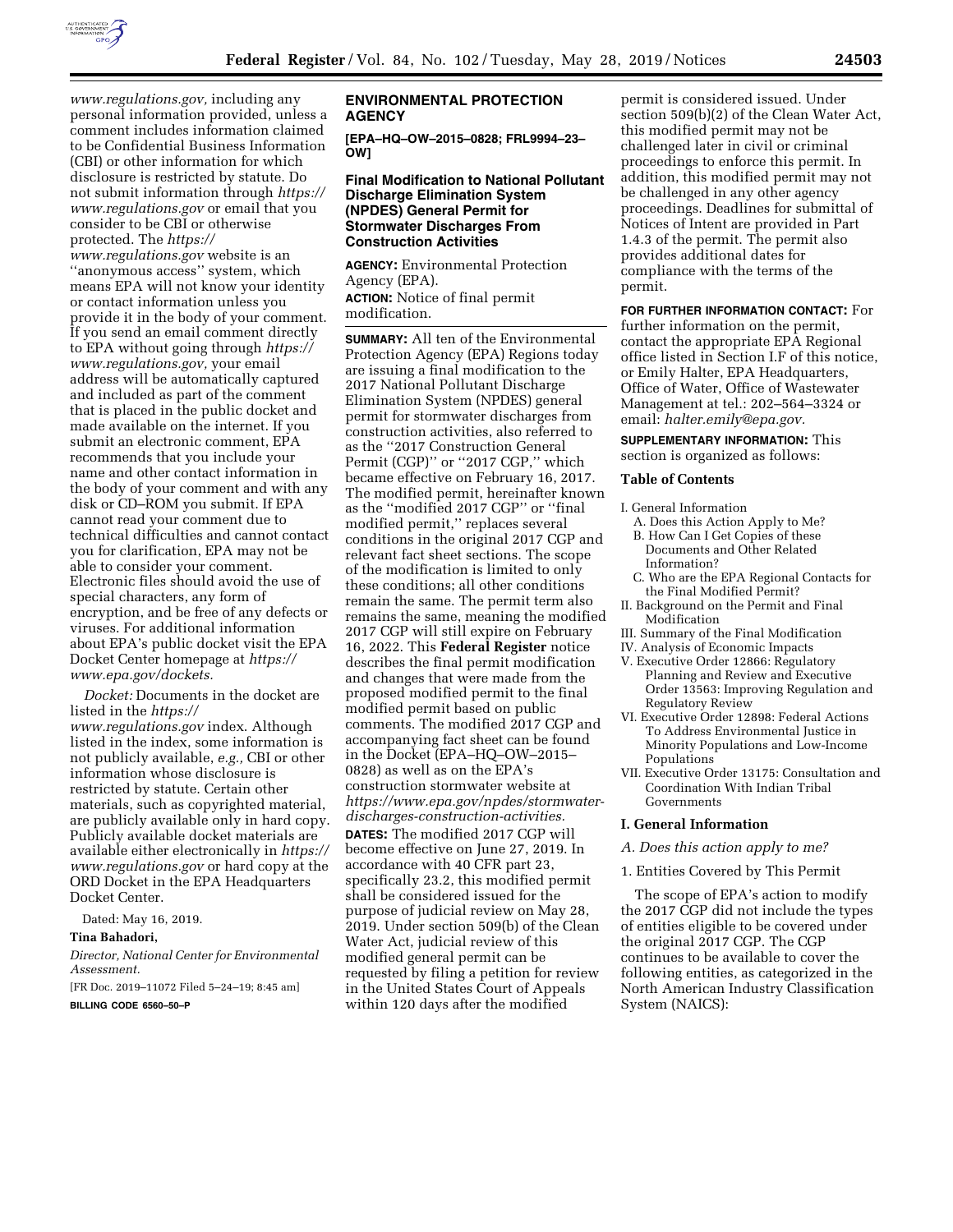

*[www.regulations.gov,](https://www.regulations.gov)* including any personal information provided, unless a comment includes information claimed to be Confidential Business Information (CBI) or other information for which disclosure is restricted by statute. Do not submit information through *[https://](https://www.regulations.gov)  [www.regulations.gov](https://www.regulations.gov)* or email that you consider to be CBI or otherwise protected. The *[https://](https://www.regulations.gov)*

*[www.regulations.gov](https://www.regulations.gov)* website is an ''anonymous access'' system, which means EPA will not know your identity or contact information unless you provide it in the body of your comment. If you send an email comment directly to EPA without going through *[https://](https://www.regulations.gov) [www.regulations.gov,](https://www.regulations.gov)* your email address will be automatically captured and included as part of the comment that is placed in the public docket and made available on the internet. If you submit an electronic comment, EPA recommends that you include your name and other contact information in the body of your comment and with any disk or CD–ROM you submit. If EPA cannot read your comment due to technical difficulties and cannot contact you for clarification, EPA may not be able to consider your comment. Electronic files should avoid the use of special characters, any form of encryption, and be free of any defects or viruses. For additional information about EPA's public docket visit the EPA Docket Center homepage at *[https://](https://www.epa.gov/dockets) [www.epa.gov/dockets.](https://www.epa.gov/dockets)* 

*Docket:* Documents in the docket are listed in the *[https://](https://www.regulations.gov) [www.regulations.gov](https://www.regulations.gov)* index. Although listed in the index, some information is not publicly available, *e.g.,* CBI or other information whose disclosure is restricted by statute. Certain other materials, such as copyrighted material, are publicly available only in hard copy. Publicly available docket materials are available either electronically in *[https://](https://www.regulations.gov) [www.regulations.gov](https://www.regulations.gov)* or hard copy at the ORD Docket in the EPA Headquarters Docket Center.

Dated: May 16, 2019.

### **Tina Bahadori,**

*Director, National Center for Environmental Assessment.* 

[FR Doc. 2019–11072 Filed 5–24–19; 8:45 am]

**BILLING CODE 6560–50–P** 

## **ENVIRONMENTAL PROTECTION AGENCY**

**[EPA–HQ–OW–2015–0828; FRL9994–23– OW]** 

## **Final Modification to National Pollutant Discharge Elimination System (NPDES) General Permit for Stormwater Discharges From Construction Activities**

**AGENCY:** Environmental Protection Agency (EPA).

**ACTION:** Notice of final permit modification.

**SUMMARY:** All ten of the Environmental Protection Agency (EPA) Regions today are issuing a final modification to the 2017 National Pollutant Discharge Elimination System (NPDES) general permit for stormwater discharges from construction activities, also referred to as the ''2017 Construction General Permit (CGP)" or "2017 CGP," which became effective on February 16, 2017. The modified permit, hereinafter known as the ''modified 2017 CGP'' or ''final modified permit,'' replaces several conditions in the original 2017 CGP and relevant fact sheet sections. The scope of the modification is limited to only these conditions; all other conditions remain the same. The permit term also remains the same, meaning the modified 2017 CGP will still expire on February 16, 2022. This **Federal Register** notice describes the final permit modification and changes that were made from the proposed modified permit to the final modified permit based on public comments. The modified 2017 CGP and accompanying fact sheet can be found in the Docket (EPA–HQ–OW–2015– 0828) as well as on the EPA's construction stormwater website at *[https://www.epa.gov/npdes/stormwater](https://www.epa.gov/npdes/stormwater-discharges-construction-activities)[discharges-construction-activities.](https://www.epa.gov/npdes/stormwater-discharges-construction-activities)* 

**DATES:** The modified 2017 CGP will become effective on June 27, 2019. In accordance with 40 CFR part 23, specifically 23.2, this modified permit shall be considered issued for the purpose of judicial review on May 28, 2019. Under section 509(b) of the Clean Water Act, judicial review of this modified general permit can be requested by filing a petition for review in the United States Court of Appeals within 120 days after the modified

permit is considered issued. Under section 509(b)(2) of the Clean Water Act, this modified permit may not be challenged later in civil or criminal proceedings to enforce this permit. In addition, this modified permit may not be challenged in any other agency proceedings. Deadlines for submittal of Notices of Intent are provided in Part 1.4.3 of the permit. The permit also provides additional dates for compliance with the terms of the permit.

**FOR FURTHER INFORMATION CONTACT:** For further information on the permit, contact the appropriate EPA Regional office listed in Section I.F of this notice, or Emily Halter, EPA Headquarters, Office of Water, Office of Wastewater Management at tel.: 202–564–3324 or email: *[halter.emily@epa.gov.](mailto:halter.emily@epa.gov)* 

**SUPPLEMENTARY INFORMATION:** This

section is organized as follows:

#### **Table of Contents**

I. General Information

- A. Does this Action Apply to Me? B. How Can I Get Copies of these Documents and Other Related Information?
- C. Who are the EPA Regional Contacts for the Final Modified Permit?
- II. Background on the Permit and Final Modification
- III. Summary of the Final Modification
- IV. Analysis of Economic Impacts
- V. Executive Order 12866: Regulatory Planning and Review and Executive Order 13563: Improving Regulation and Regulatory Review
- VI. Executive Order 12898: Federal Actions To Address Environmental Justice in Minority Populations and Low-Income Populations
- VII. Executive Order 13175: Consultation and Coordination With Indian Tribal Governments

#### **I. General Information**

#### *A. Does this action apply to me?*

#### 1. Entities Covered by This Permit

The scope of EPA's action to modify the 2017 CGP did not include the types of entities eligible to be covered under the original 2017 CGP. The CGP continues to be available to cover the following entities, as categorized in the North American Industry Classification System (NAICS):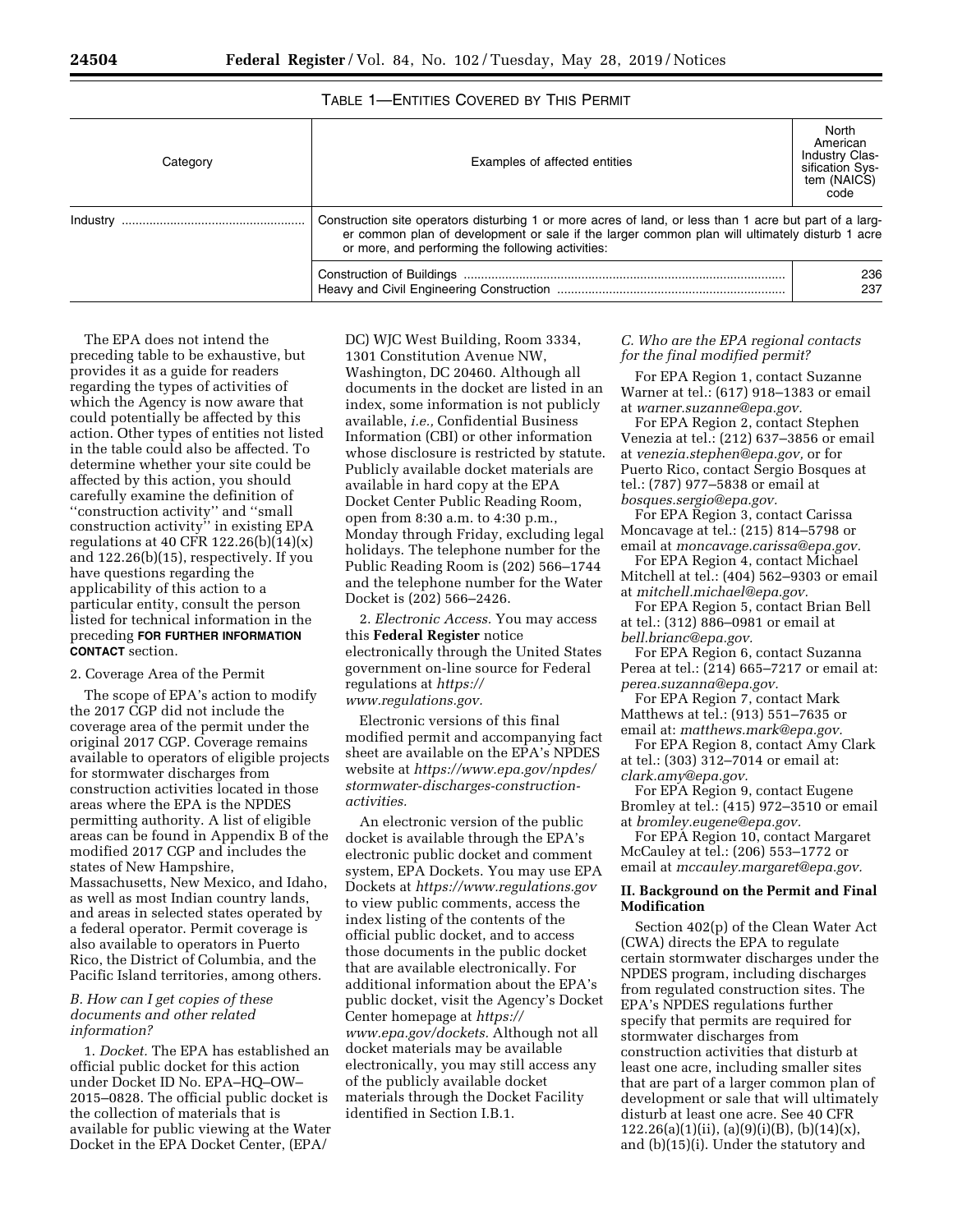# TABLE 1—ENTITIES COVERED BY THIS PERMIT

| Category | Examples of affected entities                                                                                                                                                                                                                                  | North<br>American<br><b>Industry Clas-</b><br>sification Sys-<br>tem (NAICS)<br>code |
|----------|----------------------------------------------------------------------------------------------------------------------------------------------------------------------------------------------------------------------------------------------------------------|--------------------------------------------------------------------------------------|
| Industry | Construction site operators disturbing 1 or more acres of land, or less than 1 acre but part of a larg-<br>er common plan of development or sale if the larger common plan will ultimately disturb 1 acre<br>or more, and performing the following activities: |                                                                                      |
|          |                                                                                                                                                                                                                                                                | 236<br>237                                                                           |

The EPA does not intend the preceding table to be exhaustive, but provides it as a guide for readers regarding the types of activities of which the Agency is now aware that could potentially be affected by this action. Other types of entities not listed in the table could also be affected. To determine whether your site could be affected by this action, you should carefully examine the definition of ''construction activity'' and ''small construction activity'' in existing EPA regulations at 40 CFR  $122.26(b)(14)(x)$ and 122.26(b)(15), respectively. If you have questions regarding the applicability of this action to a particular entity, consult the person listed for technical information in the preceding **FOR FURTHER INFORMATION CONTACT** section.

#### 2. Coverage Area of the Permit

The scope of EPA's action to modify the 2017 CGP did not include the coverage area of the permit under the original 2017 CGP. Coverage remains available to operators of eligible projects for stormwater discharges from construction activities located in those areas where the EPA is the NPDES permitting authority. A list of eligible areas can be found in Appendix B of the modified 2017 CGP and includes the states of New Hampshire, Massachusetts, New Mexico, and Idaho, as well as most Indian country lands, and areas in selected states operated by a federal operator. Permit coverage is also available to operators in Puerto Rico, the District of Columbia, and the Pacific Island territories, among others.

## *B. How can I get copies of these documents and other related information?*

1. *Docket.* The EPA has established an official public docket for this action under Docket ID No. EPA–HQ–OW– 2015–0828. The official public docket is the collection of materials that is available for public viewing at the Water Docket in the EPA Docket Center, (EPA/

DC) WJC West Building, Room 3334, 1301 Constitution Avenue NW, Washington, DC 20460. Although all documents in the docket are listed in an index, some information is not publicly available, *i.e.,* Confidential Business Information (CBI) or other information whose disclosure is restricted by statute. Publicly available docket materials are available in hard copy at the EPA Docket Center Public Reading Room, open from 8:30 a.m. to 4:30 p.m., Monday through Friday, excluding legal holidays. The telephone number for the Public Reading Room is (202) 566–1744 and the telephone number for the Water Docket is (202) 566–2426.

2. *Electronic Access.* You may access this **Federal Register** notice electronically through the United States government on-line source for Federal regulations at *[https://](https://www.regulations.gov) [www.regulations.gov.](https://www.regulations.gov)* 

Electronic versions of this final modified permit and accompanying fact sheet are available on the EPA's NPDES website at *[https://www.epa.gov/npdes/](https://www.epa.gov/npdes/stormwater-discharges-construction-activities) [stormwater-discharges-construction](https://www.epa.gov/npdes/stormwater-discharges-construction-activities)[activities.](https://www.epa.gov/npdes/stormwater-discharges-construction-activities)* 

An electronic version of the public docket is available through the EPA's electronic public docket and comment system, EPA Dockets. You may use EPA Dockets at *<https://www.regulations.gov>*  to view public comments, access the index listing of the contents of the official public docket, and to access those documents in the public docket that are available electronically. For additional information about the EPA's public docket, visit the Agency's Docket Center homepage at *[https://](https://www.epa.gov/dockets) [www.epa.gov/dockets.](https://www.epa.gov/dockets)* Although not all docket materials may be available electronically, you may still access any of the publicly available docket materials through the Docket Facility identified in Section I.B.1.

## *C. Who are the EPA regional contacts for the final modified permit?*

For EPA Region 1, contact Suzanne Warner at tel.: (617) 918–1383 or email at *[warner.suzanne@epa.gov.](mailto:warner.suzanne@epa.gov)* 

For EPA Region 2, contact Stephen Venezia at tel.: (212) 637–3856 or email at *[venezia.stephen@epa.gov,](mailto:venezia.stephen@epa.gov)* or for Puerto Rico, contact Sergio Bosques at tel.: (787) 977–5838 or email at *[bosques.sergio@epa.gov.](mailto:bosques.sergio@epa.gov)* 

For EPA Region 3, contact Carissa Moncavage at tel.: (215) 814–5798 or email at *[moncavage.carissa@epa.gov.](mailto:moncavage.carissa@epa.gov)* 

For EPA Region 4, contact Michael Mitchell at tel.: (404) 562–9303 or email at *[mitchell.michael@epa.gov.](mailto:mitchell.michael@epa.gov)* 

For EPA Region 5, contact Brian Bell at tel.: (312) 886–0981 or email at

*[bell.brianc@epa.gov.](mailto:bell.brianc@epa.gov)*  For EPA Region 6, contact Suzanna

Perea at tel.: (214) 665–7217 or email at: *[perea.suzanna@epa.gov.](mailto:perea.suzanna@epa.gov)* 

For EPA Region 7, contact Mark Matthews at tel.: (913) 551–7635 or email at: *[matthews.mark@epa.gov.](mailto:matthews.mark@epa.gov)* 

For EPA Region 8, contact Amy Clark at tel.: (303) 312–7014 or email at: *[clark.amy@epa.gov.](mailto:clark.amy@epa.gov)* 

For EPA Region 9, contact Eugene Bromley at tel.: (415) 972–3510 or email at *[bromley.eugene@epa.gov.](mailto:bromley.eugene@epa.gov)* 

For EPA Region 10, contact Margaret McCauley at tel.: (206) 553–1772 or email at *[mccauley.margaret@epa.gov.](mailto:mccauley.margaret@epa.gov)* 

## **II. Background on the Permit and Final Modification**

Section 402(p) of the Clean Water Act (CWA) directs the EPA to regulate certain stormwater discharges under the NPDES program, including discharges from regulated construction sites. The EPA's NPDES regulations further specify that permits are required for stormwater discharges from construction activities that disturb at least one acre, including smaller sites that are part of a larger common plan of development or sale that will ultimately disturb at least one acre. See 40 CFR  $122.26(a)(1)(ii)$ ,  $(a)(9)(i)(B)$ ,  $(b)(14)(x)$ , and (b)(15)(i). Under the statutory and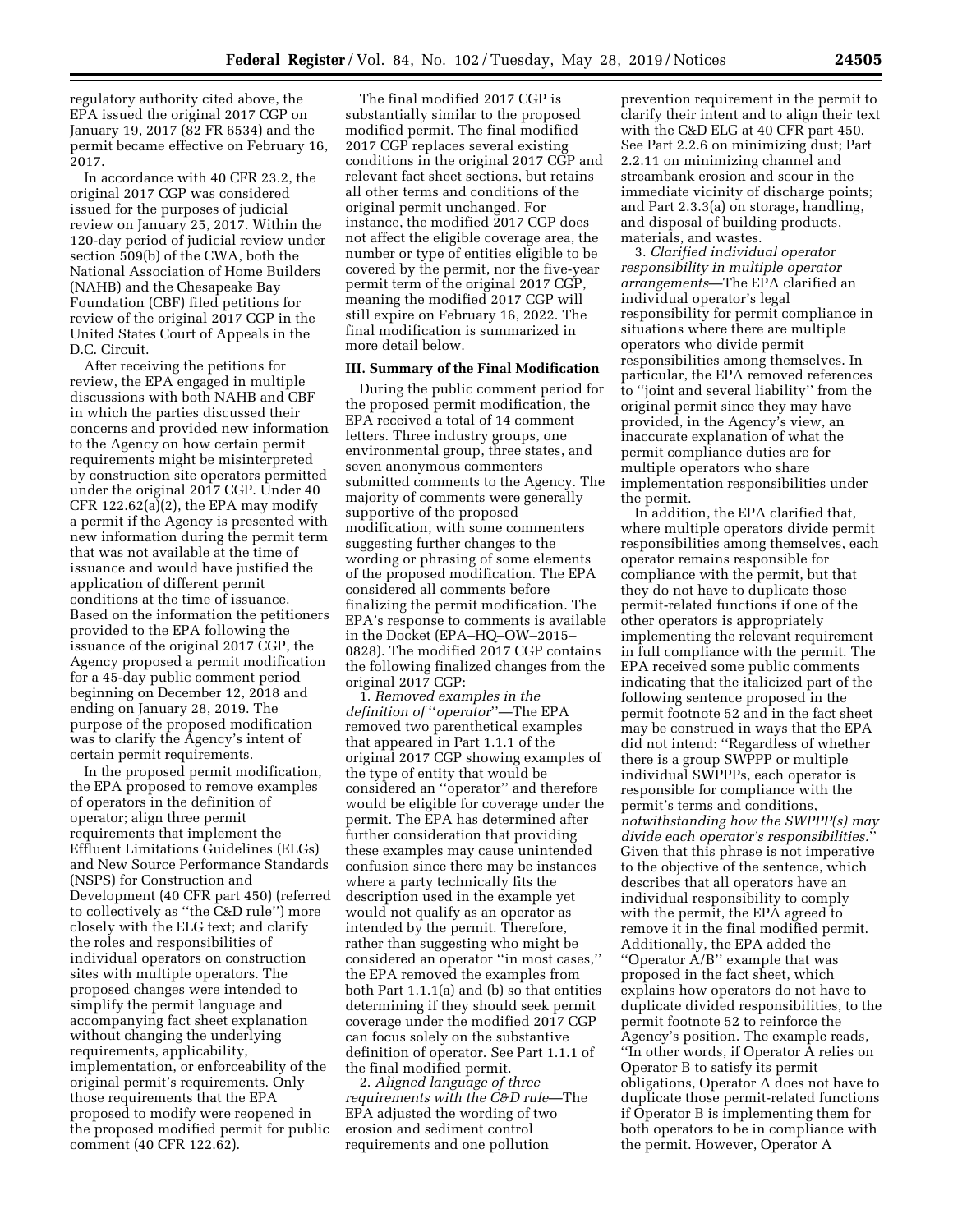regulatory authority cited above, the EPA issued the original 2017 CGP on January 19, 2017 (82 FR 6534) and the permit became effective on February 16, 2017.

In accordance with 40 CFR 23.2, the original 2017 CGP was considered issued for the purposes of judicial review on January 25, 2017. Within the 120-day period of judicial review under section 509(b) of the CWA, both the National Association of Home Builders (NAHB) and the Chesapeake Bay Foundation (CBF) filed petitions for review of the original 2017 CGP in the United States Court of Appeals in the D.C. Circuit.

After receiving the petitions for review, the EPA engaged in multiple discussions with both NAHB and CBF in which the parties discussed their concerns and provided new information to the Agency on how certain permit requirements might be misinterpreted by construction site operators permitted under the original 2017 CGP. Under 40 CFR 122.62(a)(2), the EPA may modify a permit if the Agency is presented with new information during the permit term that was not available at the time of issuance and would have justified the application of different permit conditions at the time of issuance. Based on the information the petitioners provided to the EPA following the issuance of the original 2017 CGP, the Agency proposed a permit modification for a 45-day public comment period beginning on December 12, 2018 and ending on January 28, 2019. The purpose of the proposed modification was to clarify the Agency's intent of certain permit requirements.

In the proposed permit modification, the EPA proposed to remove examples of operators in the definition of operator; align three permit requirements that implement the Effluent Limitations Guidelines (ELGs) and New Source Performance Standards (NSPS) for Construction and Development (40 CFR part 450) (referred to collectively as ''the C&D rule'') more closely with the ELG text; and clarify the roles and responsibilities of individual operators on construction sites with multiple operators. The proposed changes were intended to simplify the permit language and accompanying fact sheet explanation without changing the underlying requirements, applicability, implementation, or enforceability of the original permit's requirements. Only those requirements that the EPA proposed to modify were reopened in the proposed modified permit for public comment (40 CFR 122.62).

The final modified 2017 CGP is substantially similar to the proposed modified permit. The final modified 2017 CGP replaces several existing conditions in the original 2017 CGP and relevant fact sheet sections, but retains all other terms and conditions of the original permit unchanged. For instance, the modified 2017 CGP does not affect the eligible coverage area, the number or type of entities eligible to be covered by the permit, nor the five-year permit term of the original 2017 CGP, meaning the modified 2017 CGP will still expire on February 16, 2022. The final modification is summarized in more detail below.

## **III. Summary of the Final Modification**

During the public comment period for the proposed permit modification, the EPA received a total of 14 comment letters. Three industry groups, one environmental group, three states, and seven anonymous commenters submitted comments to the Agency. The majority of comments were generally supportive of the proposed modification, with some commenters suggesting further changes to the wording or phrasing of some elements of the proposed modification. The EPA considered all comments before finalizing the permit modification. The EPA's response to comments is available in the Docket (EPA–HQ–OW–2015– 0828). The modified 2017 CGP contains the following finalized changes from the original 2017 CGP:

1. *Removed examples in the definition of* ''*operator*''—The EPA removed two parenthetical examples that appeared in Part 1.1.1 of the original 2017 CGP showing examples of the type of entity that would be considered an ''operator'' and therefore would be eligible for coverage under the permit. The EPA has determined after further consideration that providing these examples may cause unintended confusion since there may be instances where a party technically fits the description used in the example yet would not qualify as an operator as intended by the permit. Therefore, rather than suggesting who might be considered an operator ''in most cases,'' the EPA removed the examples from both Part 1.1.1(a) and (b) so that entities determining if they should seek permit coverage under the modified 2017 CGP can focus solely on the substantive definition of operator. See Part 1.1.1 of the final modified permit.

2. *Aligned language of three requirements with the C&D rule*—The EPA adjusted the wording of two erosion and sediment control requirements and one pollution

prevention requirement in the permit to clarify their intent and to align their text with the C&D ELG at 40 CFR part 450. See Part 2.2.6 on minimizing dust; Part 2.2.11 on minimizing channel and streambank erosion and scour in the immediate vicinity of discharge points; and Part 2.3.3(a) on storage, handling, and disposal of building products, materials, and wastes.

3. *Clarified individual operator responsibility in multiple operator arrangements*—The EPA clarified an individual operator's legal responsibility for permit compliance in situations where there are multiple operators who divide permit responsibilities among themselves. In particular, the EPA removed references to ''joint and several liability'' from the original permit since they may have provided, in the Agency's view, an inaccurate explanation of what the permit compliance duties are for multiple operators who share implementation responsibilities under the permit.

In addition, the EPA clarified that, where multiple operators divide permit responsibilities among themselves, each operator remains responsible for compliance with the permit, but that they do not have to duplicate those permit-related functions if one of the other operators is appropriately implementing the relevant requirement in full compliance with the permit. The EPA received some public comments indicating that the italicized part of the following sentence proposed in the permit footnote 52 and in the fact sheet may be construed in ways that the EPA did not intend: ''Regardless of whether there is a group SWPPP or multiple individual SWPPPs, each operator is responsible for compliance with the permit's terms and conditions, *notwithstanding how the SWPPP(s) may divide each operator's responsibilities.*'' Given that this phrase is not imperative to the objective of the sentence, which describes that all operators have an individual responsibility to comply with the permit, the EPA agreed to remove it in the final modified permit. Additionally, the EPA added the ''Operator A/B'' example that was proposed in the fact sheet, which explains how operators do not have to duplicate divided responsibilities, to the permit footnote 52 to reinforce the Agency's position. The example reads, ''In other words, if Operator A relies on Operator B to satisfy its permit obligations, Operator A does not have to duplicate those permit-related functions if Operator B is implementing them for both operators to be in compliance with the permit. However, Operator A